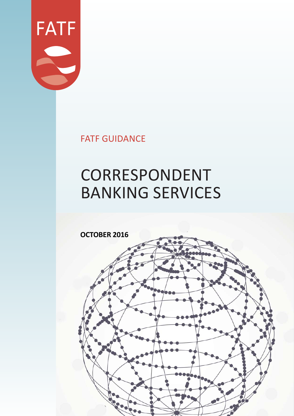

FATF GUIDANCE

# CORRESPONDENT BANKING SERVICES

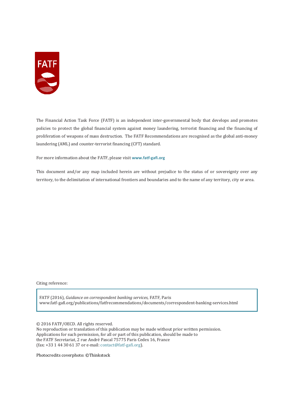

The Financial Action Task Force (FATF) is an independent inter-governmental body that develops and promotes policies to protect the global financial system against money laundering, terrorist financing and the financing of proliferation of weapons of mass destruction. The FATF Recommendations are recognised as the global anti-money laundering (AML) and counter-terrorist financing (CFT) standard.

For more information about the FATF, please visit **www.fatf-gafi.org**

This document and/or any map included herein are without prejudice to the status of or sovereignty over any territory, to the delimitation of international frontiers and boundaries and to the name of any territory, city or area.

Citing reference:

FATF (2016), *Guidance on correspondent banking services,* FATF, Paris www.fatf-gafi.org/publications/fatfrecommendations/documents/correspondent-banking-services.html

© 2016 FATF/OECD. All rights reserved.

No reproduction or translation of this publication may be made without prior written permission. Applications for such permission, for all or part of this publication, should be made to the FATF Secretariat, 2 rue André Pascal 75775 Paris Cedex 16, France (fax: +33 1 44 30 61 37 or e-mail: contact@fatf-gafi.org).

Photocredits coverphoto: ©Thinkstock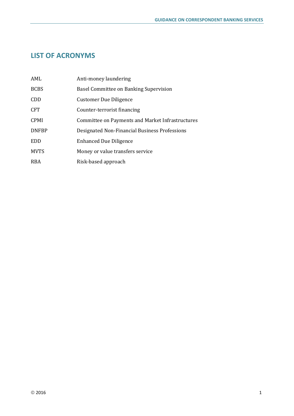# **LIST OF ACRONYMS**

| AML          | Anti-money laundering                            |
|--------------|--------------------------------------------------|
| <b>BCBS</b>  | Basel Committee on Banking Supervision           |
| <b>CDD</b>   | <b>Customer Due Diligence</b>                    |
| <b>CFT</b>   | Counter-terrorist financing                      |
| <b>CPMI</b>  | Committee on Payments and Market Infrastructures |
| <b>DNFBP</b> | Designated Non-Financial Business Professions    |
| <b>EDD</b>   | <b>Enhanced Due Diligence</b>                    |
| <b>MVTS</b>  | Money or value transfers service                 |
| <b>RBA</b>   | Risk-based approach                              |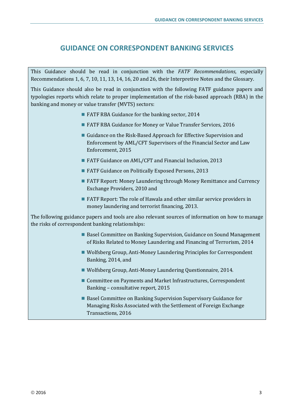# **GUIDANCE ON CORRESPONDENT BANKING SERVICES**

This Guidance should be read in conjunction with the *FATF Recommendations*, especially Recommendations 1, 6, 7, 10, 11, 13, 14, 16, 20 and 26, their Interpretive Notes and the Glossary.

This Guidance should also be read in conjunction with the following FATF guidance papers and typologies reports which relate to proper implementation of the risk-based approach (RBA) in the banking and money or value transfer (MVTS) sectors:

- FATF RBA Guidance for the banking sector, 2014
- FATF RBA Guidance for Money or Value Transfer Services, 2016
- Guidance on the Risk-Based Approach for Effective Supervision and Enforcement by AML/CFT Supervisors of the Financial Sector and Law Enforcement, 2015
- FATF Guidance on AML/CFT and Financial Inclusion, 2013
- FATF Guidance on Politically Exposed Persons, 2013
- FATF Report: Money Laundering through Money Remittance and Currency Exchange Providers, 2010 and
- FATF Report: The role of Hawala and other similar service providers in money laundering and terrorist financing, 2013.

The following guidance papers and tools are also relevant sources of information on how to manage the risks of correspondent banking relationships:

- Basel Committee on Banking Supervision, Guidance on Sound Management of Risks Related to Money Laundering and Financing of Terrorism*,* 2014
- Wolfsberg Group, Anti-Money Laundering Principles for Correspondent Banking*,* 2014, and
- Wolfsberg Group, Anti-Money Laundering Questionnaire, 2014.
- Committee on Payments and Market Infrastructures, Correspondent Banking – consultative report*,* 2015
- Basel Committee on Banking Supervision Supervisory Guidance for Managing Risks Associated with the Settlement of Foreign Exchange Transactions*,* 2016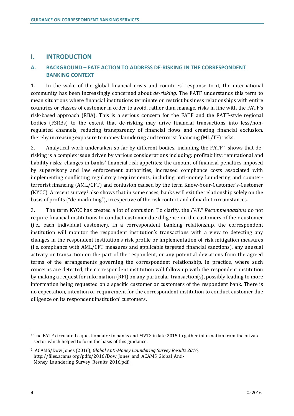## **I. INTRODUCTION**

## **A. BACKGROUND – FATF ACTION TO ADDRESS DE-RISKING IN THE CORRESPONDENT BANKING CONTEXT**

1. In the wake of the global financial crisis and countries' response to it, the international community has been increasingly concerned about *de-risking.* The FATF understands this term to mean situations where financial institutions terminate or restrict business relationships with entire countries or classes of customer in order to avoid, rather than manage, risks in line with the FATF's risk-based approach (RBA). This is a serious concern for the FATF and the FATF-style regional bodies (FSRBs) to the extent that de-risking may drive financial transactions into less/nonregulated channels, reducing transparency of financial flows and creating financial exclusion, thereby increasing exposure to money laundering and terrorist financing (ML/TF) risks.

2. Analytical work undertaken so far by different bodies, including the  $FATF<sub>1</sub>$  shows that derisking is a complex issue driven by various considerations including: profitability; reputational and liability risks; changes in banks' financial risk appetites; the amount of financial penalties imposed by supervisory and law enforcement authorities, increased compliance costs associated with implementing conflicting regulatory requirements, including anti-money laundering and counterterrorist financing (AML/CFT) and confusion caused by the term Know-Your-Customer's-Customer (KYCC). A recent survey<sup>2</sup> also shows that in some cases, banks will exit the relationship solely on the basis of profits ("de-marketing"), irrespective of the risk context and of market circumstances.

3. The term KYCC has created a lot of confusion. To clarify, the *FATF Recommendations* do not require financial institutions to conduct customer due diligence on the customers of their customer (i.e., each individual customer). In a correspondent banking relationship, the correspondent institution will monitor the respondent institution's transactions with a view to detecting any changes in the respondent institution's risk profile or implementation of risk mitigation measures (i.e. compliance with AML/CFT measures and applicable targeted financial sanctions), any unusual activity or transaction on the part of the respondent, or any potential deviations from the agreed terms of the arrangements governing the correspondent relationship. In practice, where such concerns are detected, the correspondent institution will follow up with the respondent institution by making a request for information (RFI) on any particular transaction(s), possibly leading to more information being requested on a specific customer or customers of the respondent bank. There is no expectation, intention or requirement for the correspondent institution to conduct customer due diligence on its respondent institution' customers.

 $\overline{a}$ <sup>1</sup> The FATF circulated a questionnaire to banks and MVTS in late 2015 to gather information from the private sector which helped to form the basis of this guidance.

<sup>2</sup> ACAMS/Dow Jones (2016), *Global Anti-Money Laundering Survey Results 2016,*  http://files.acams.org/pdfs/2016/Dow\_Jones\_and\_ACAMS\_Global\_Anti-Money\_Laundering\_Survey\_Results\_2016.pdf.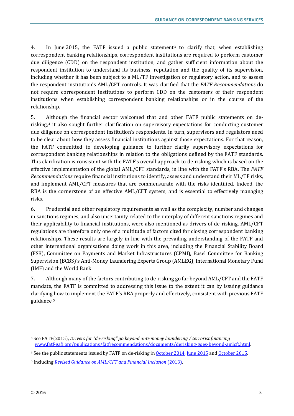4. In June 2015, the FATF issued a public statement3 to clarify that, when establishing correspondent banking relationships, correspondent institutions are required to perform customer due diligence (CDD) on the respondent institution, and gather sufficient information about the respondent institution to understand its business, reputation and the quality of its supervision, including whether it has been subject to a ML/TF investigation or regulatory action, and to assess the respondent institution's AML/CFT controls. It was clarified that the *FATF Recommendations* do not require correspondent institutions to perform CDD on the customers of their respondent institutions when establishing correspondent banking relationships or in the course of the relationship.

5. Although the financial sector welcomed that and other FATF public statements on derisking,4 it also sought further clarification on supervisory expectations for conducting customer due diligence on correspondent institution's respondents. In turn, supervisors and regulators need to be clear about how they assess financial institutions against those expectations. For that reason, the FATF committed to developing guidance to further clarify supervisory expectations for correspondent banking relationships in relation to the obligations defined by the FATF standards. This clarification is consistent with the FATF's overall approach to de-risking which is based on the effective implementation of the global AML/CFT standards, in line with the FATF's RBA. The *FATF Recommendations* require financial institutions to identify, assess and understand their ML/TF risks, and implement AML/CFT measures that are commensurate with the risks identified. Indeed, the RBA is the cornerstone of an effective AML/CFT system, and is essential to effectively managing risks.

6. Prudential and other regulatory requirements as well as the complexity, number and changes in sanctions regimes, and also uncertainty related to the interplay of different sanctions regimes and their applicability to financial institutions, were also mentioned as drivers of de-risking. AML/CFT regulations are therefore only one of a multitude of factors cited for closing correspondent banking relationships. These results are largely in line with the prevailing understanding of the FATF and other international organisations doing work in this area, including the Financial Stability Board (FSB), Committee on Payments and Market Infrastructures (CPMI), Basel Committee for Banking Supervision (BCBS)'s Anti-Money Laundering Experts Group (AMLEG), International Monetary Fund (IMF) and the World Bank.

7. Although many of the factors contributing to de-risking go far beyond AML/CFT and the FATF mandate, the FATF is committed to addressing this issue to the extent it can by issuing guidance clarifying how to implement the FATF's RBA properly and effectively, consistent with previous FATF guidance.5

 $\overline{a}$ <sup>3</sup> See FATF(2015), *Drivers for "de-risking" go beyond anti-money laundering / terrorist financing* www.fatf-gafi.org/publications/fatfrecommendations/documents/derisking-goes-beyond-amlcft.html.

<sup>&</sup>lt;sup>4</sup> See the public statements issued by FATF on de-risking in October 2014, June 2015 and October 2015.

<sup>5</sup> Including *Revised Guidance on AML/CFT and Financial Inclusion* (2013).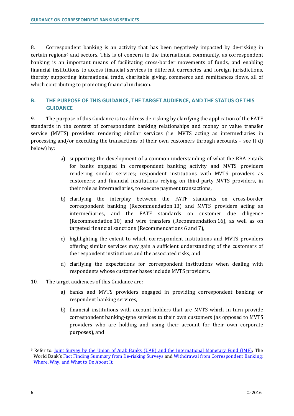8. Correspondent banking is an activity that has been negatively impacted by de-risking in certain regions6 and sectors. This is of concern to the international community, as correspondent banking is an important means of facilitating cross-border movements of funds, and enabling financial institutions to access financial services in different currencies and foreign jurisdictions, thereby supporting international trade, charitable giving, commerce and remittances flows, all of which contributing to promoting financial inclusion.

## **B. THE PURPOSE OF THIS GUIDANCE, THE TARGET AUDIENCE, AND THE STATUS OF THIS GUIDANCE**

9. The purpose of this Guidance is to address de-risking by clarifying the application of the FATF standards in the context of correspondent banking relationships and money or value transfer service (MVTS) providers rendering similar services (i.e. MVTS acting as intermediaries in processing and/or executing the transactions of their own customers through accounts – see II d) below) by:

- a) supporting the development of a common understanding of what the RBA entails for banks engaged in correspondent banking activity and MVTS providers rendering similar services; respondent institutions with MVTS providers as customers; and financial institutions relying on third-party MVTS providers, in their role as intermediaries, to execute payment transactions,
- b) clarifying the interplay between the FATF standards on cross-border correspondent banking (Recommendation 13) and MVTS providers acting as intermediaries, and the FATF standards on customer due diligence (Recommendation 10) and wire transfers (Recommendation 16), as well as on targeted financial sanctions (Recommendations 6 and 7),
- c) highlighting the extent to which correspondent institutions and MVTS providers offering similar services may gain a sufficient understanding of the customers of the respondent institutions and the associated risks, and
- d) clarifying the expectations for correspondent institutions when dealing with respondents whose customer bases include MVTS providers.
- 10. The target audiences of this Guidance are:
	- a) banks and MVTS providers engaged in providing correspondent banking or respondent banking services,
	- b) financial institutions with account holders that are MVTS which in turn provide correspondent banking-type services to their own customers (as opposed to MVTS providers who are holding and using their account for their own corporate purposes), and

<sup>6</sup> Refer to: Joint Survey by the Union of Arab Banks (UAB) and the International Monetary Fund (IMF); The World Bank's Fact Finding Summary from De-risking Surveys and Withdrawal from Correspondent Banking: Where, Why, and What to Do About It*.*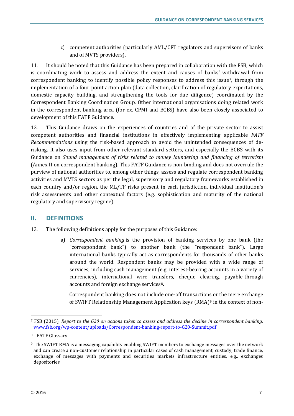c) competent authorities (particularly AML/CFT regulators and supervisors of banks and of MVTS providers).

11. It should be noted that this Guidance has been prepared in collaboration with the FSB, which is coordinating work to assess and address the extent and causes of banks' withdrawal from correspondent banking to identify possible policy responses to address this issue7, through the implementation of a four-point action plan (data collection, clarification of regulatory expectations, domestic capacity building, and strengthening the tools for due diligence) coordinated by the Correspondent Banking Coordination Group. Other international organisations doing related work in the correspondent banking area (for ex. CPMI and BCBS) have also been closely associated to development of this FATF Guidance.

12. This Guidance draws on the experiences of countries and of the private sector to assist competent authorities and financial institutions in effectively implementing applicable *FATF Recommendations* using the risk-based approach to avoid the unintended consequences of derisking. It also uses input from other relevant standard setters, and especially the BCBS with its Guidance on *Sound management of risks related to money laundering and financing of terrorism* (Annex II on correspondent banking). This FATF Guidance is non-binding and does not overrule the purview of national authorities to, among other things, assess and regulate correspondent banking activities and MVTS sectors as per the legal, supervisory and regulatory frameworks established in each country and/or region, the ML/TF risks present in each jurisdiction, individual institution's risk assessments and other contextual factors (e.g. sophistication and maturity of the national regulatory and supervisory regime).

## **II. DEFINITIONS**

- 13. The following definitions apply for the purposes of this Guidance:
	- a) *Correspondent banking* is the provision of banking services by one bank (the "correspondent bank") to another bank (the "respondent bank"). Large international banks typically act as correspondents for thousands of other banks around the world. Respondent banks may be provided with a wide range of services, including cash management (e.g. interest-bearing accounts in a variety of currencies), international wire transfers, cheque clearing, payable-through accounts and foreign exchange services<sup>8</sup>.

Correspondent banking does not include one-off transactions or the mere exchange of SWIFT Relationship Management Application keys (RMA)<sup>9</sup> in the context of non-

<sup>7</sup> FSB (2015), *Report to the G20 on actions taken to assess and address the decline in correspondent banking*. www.fsb.org/wp-content/uploads/Correspondent-banking-report-to-G20-Summit.pdf

<sup>8</sup> FATF Glossary

<sup>9</sup> The SWIFT RMA is a messaging capability enabling SWIFT members to exchange messages over the network and can create a non-customer relationship in particular cases of cash management, custody, trade finance, exchange of messages with payments and securities markets infrastructure entities, e.g., exchanges depositories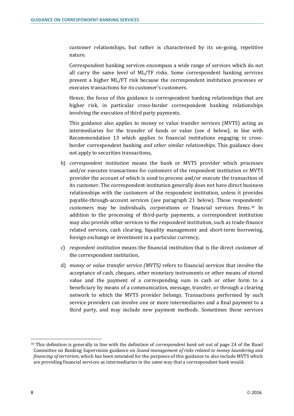customer relationships, but rather is characterised by its on-going, repetitive nature.

Correspondent banking services encompass a wide range of services which do not all carry the same level of ML/TF risks. Some correspondent banking services present a higher ML/FT risk because the correspondent institution processes or executes transactions for its customer's customers.

Hence, the focus of this guidance is correspondent banking relationships that are higher risk, in particular cross-border correspondent banking relationships involving the execution of third party payments.

This guidance also applies to money or value transfer services (MVTS) acting as intermediaries for the transfer of funds or value (see d below), in line with Recommendation 13 which applies to financial institutions engaging in crossborder correspondent banking *and other similar relationships*. This guidance does not apply to securities transactions,

- b) *correspondent institution* means the bank or MVTS provider which processes and/or executes transactions for customers of the respondent institution or MVTS provider the account of which is used to process and/or execute the transaction of its customer. The correspondent institution generally does not have direct business relationships with the customers of the respondent institution, unless it provides payable-through-account services (see paragraph 21 below). Those respondents' customers may be individuals, corporations or financial services firms.10 In addition to the processing of third-party payments, a correspondent institution may also provide other services to the respondent institution, such as trade-finance related services, cash clearing, liquidity management and short-term borrowing, foreign exchange or investment in a particular currency,
- c) *respondent institution* means the financial institution that is the direct customer of the correspondent institution,
- d) *money or value transfer service (MVTS)* refers to financial services that involve the acceptance of cash, cheques, other monetary instruments or other means of stored value and the payment of a corresponding sum in cash or other form to a beneficiary by means of a communication, message, transfer, or through a clearing network to which the MVTS provider belongs. Transactions performed by such service providers can involve one or more intermediaries and a final payment to a third party, and may include new payment methods. Sometimes these services

<sup>10</sup> This definition is generally in line with the definition of *correspondent bank* set out of page 24 of the Basel Committee on Banking Supervision guidance on *Sound management of risks related to money laundering and financing of terrorism*, which has been extended for the purposes of this guidance to also include MVTS which are providing financial services as intermediaries in the same way that a correspondent bank would.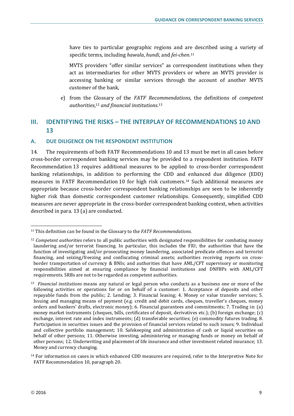have ties to particular geographic regions and are described using a variety of specific terms, including *hawala*, *hundi*, and *fei-chen.11*

MVTS providers "offer similar services" as correspondent institutions when they act as intermediaries for other MVTS providers or where an MVTS provider is accessing banking or similar services through the account of another MVTS customer of the bank,

e) from the Glossary of the *FATF Recommendations*, the definitions of *competent authorities*,12 *and financial institutions*.13

# **III. IDENTIFYING THE RISKS – THE INTERPLAY OF RECOMMENDATIONS 10 AND 13**

## **A. DUE DILIGENCE ON THE RESPONDENT INSTITUTION**

14. The requirements of both FATF Recommendations 10 and 13 must be met in all cases before cross-border correspondent banking services may be provided to a respondent institution. FATF Recommendation 13 requires additional measures to be applied to cross-border correspondent banking relationships, in addition to performing the CDD and enhanced due diligence (EDD) measures in FATF Recommendation 10 for high risk customers.14 Such additional measures are appropriate because cross-border correspondent banking relationships are seen to be inherently higher risk than domestic correspondent customer relationships. Consequently, simplified CDD measures are never appropriate in the cross-border correspondent banking context, when activities described in para. 13 (a) are conducted.

 $\overline{a}$ <sup>11</sup> This definition can be found in the Glossary to the *FATF Recommendations.*

<sup>12</sup> *Competent authorities* refers to all public authorities with designated responsibilities for combating money laundering and/or terrorist financing. In particular, this includes the FIU; the authorities that have the function of investigating and/or prosecuting money laundering, associated predicate offences and terrorist financing, and seizing/freezing and confiscating criminal assets; authorities receiving reports on crossborder transportation of currency & BNIs; and authorities that have AML/CFT supervisory or monitoring responsibilities aimed at ensuring compliance by financial institutions and DNFBPs with AML/CFT requirements. SRBs are not to be regarded as competent authorities.

<sup>13</sup> *Financial institutions* means any natural or legal person who conducts as a business one or more of the following activities or operations for or on behalf of a customer: 1. Acceptance of deposits and other repayable funds from the public; 2. Lending; 3. Financial leasing; 4. Money or value transfer services; 5. Issuing and managing means of payment (e.g. credit and debit cards, cheques, traveller's cheques, money orders and bankers' drafts, electronic money); 6. Financial guarantees and commitments; 7. Trading in: (a) money market instruments (cheques, bills, certificates of deposit, derivatives etc.); (b) foreign exchange; (c) exchange, interest rate and index instruments; (d) transferable securities; (e) commodity futures trading. 8. Participation in securities issues and the provision of financial services related to such issues; 9. Individual and collective portfolio management; 10. Safekeeping and administration of cash or liquid securities on behalf of other persons; 11. Otherwise investing, administering or managing funds or money on behalf of other persons; 12. Underwriting and placement of life insurance and other investment related insurance; 13. Money and currency changing.

<sup>&</sup>lt;sup>14</sup> For information on cases in which enhanced CDD measures are required, refer to the Interpretive Note for FATF Recommendation 10, paragraph 20.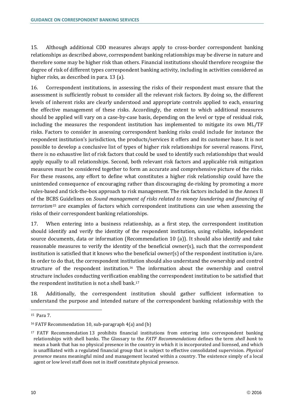15. Although additional CDD measures always apply to cross-border correspondent banking relationships as described above, correspondent banking relationships may be diverse in nature and therefore some may be higher risk than others. Financial institutions should therefore recognise the degree of risk of different types correspondent banking activity, including in activities considered as higher risks, as described in para. 13 (a).

16. Correspondent institutions, in assessing the risks of their respondent must ensure that the assessment is sufficiently robust to consider all the relevant risk factors. By doing so, the different levels of inherent risks are clearly understood and appropriate controls applied to each, ensuring the effective management of these risks. Accordingly, the extent to which additional measures should be applied will vary on a case-by-case basis, depending on the level or type of residual risk, including the measures the respondent institution has implemented to mitigate its own ML/TF risks. Factors to consider in assessing correspondent banking risks could include for instance the respondent institution's jurisdiction, the products/services it offers and its customer base. It is not possible to develop a conclusive list of types of higher risk relationships for several reasons. First, there is no exhaustive list of risk factors that could be used to identify such relationships that would apply equally to all relationships. Second, both relevant risk factors and applicable risk mitigation measures must be considered together to form an accurate and comprehensive picture of the risks. For these reasons, any effort to define what constitutes a higher risk relationship could have the unintended consequence of encouraging rather than discouraging de-risking by promoting a more rules-based and tick-the-box approach to risk management. The risk factors included in the Annex II of the BCBS Guidelines on *Sound management of risks related to money laundering and financing of terrorism*<sup>15</sup> are examples of factors which correspondent institutions can use when assessing the risks of their correspondent banking relationships.

17. When entering into a business relationship, as a first step, the correspondent institution should identify and verify the identity of the respondent institution, using reliable, independent source documents, data or information (Recommendation 10 (a)). It should also identify and take reasonable measures to verify the identity of the beneficial owner(s), such that the correspondent institution is satisfied that it knows who the beneficial owner(s) of the respondent institution is/are. In order to do that, the correspondent institution should also understand the ownership and control structure of the respondent institution.16 The information about the ownership and control structure includes conducting verification enabling the correspondent institution to be satisfied that the respondent institution is not a shell bank.17

18. Additionally, the correspondent institution should gather sufficient information to understand the purpose and intended nature of the correspondent banking relationship with the

<sup>15</sup> Para 7.

<sup>16</sup> FATF Recommendation 10, sub-paragraph 4(a) and (b)

<sup>17</sup> FATF Recommendation 13 prohibits financial institutions from entering into correspondent banking relationships with shell banks. The Glossary to the *FATF Recommendations* defines the term *shell bank* to mean a bank that has no physical presence in the country in which it is incorporated and licensed, and which is unaffiliated with a regulated financial group that is subject to effective consolidated supervision. *Physical presence* means meaningful mind and management located within a country. The existence simply of a local agent or low level staff does not in itself constitute physical presence.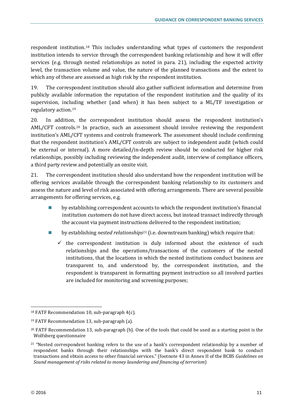respondent institution.18 This includes understanding what types of customers the respondent institution intends to service through the correspondent banking relationship and how it will offer services (e.g. through nested relationships as noted in para. 21), including the expected activity level, the transaction volume and value, the nature of the planned transactions and the extent to which any of these are assessed as high risk by the respondent institution.

19. The correspondent institution should also gather sufficient information and determine from publicly available information the reputation of the respondent institution and the quality of its supervision, including whether (and when) it has been subject to a ML/TF investigation or regulatory action.19

20. In addition, the correspondent institution should assess the respondent institution's AML/CFT controls.20 In practice, such an assessment should involve reviewing the respondent institution's AML/CFT systems and controls framework. The assessment should include confirming that the respondent institution's AML/CFT controls are subject to independent audit (which could be external or internal). A more detailed/in-depth review should be conducted for higher risk relationships, possibly including reviewing the independent audit, interview of compliance officers, a third party review and potentially an onsite visit.

21. The correspondent institution should also understand how the respondent institution will be offering services available through the correspondent banking relationship to its customers and assess the nature and level of risk associated with offering arrangements. There are several possible arrangements for offering services, e.g.

- by establishing correspondent accounts to which the respondent institution's financial institution customers do not have direct access, but instead transact indirectly through the account via payment instructions delivered to the respondent institution;
- by establishing *nested relationships*<sup>21</sup> (i.e. downstream banking) which require that:
	- $\checkmark$  the correspondent institution is duly informed about the existence of such relationships and the operations/transactions of the customers of the nested institutions, that the locations in which the nested institutions conduct business are transparent to, and understood by, the correspondent institution, and the respondent is transparent in formatting payment instruction so all involved parties are included for monitoring and screening purposes;

<sup>18</sup> FATF Recommendation 10, sub-paragraph 4(c).

<sup>19</sup> FATF Recommendation 13, sub-paragraph (a).

<sup>&</sup>lt;sup>20</sup> FATF Recommendation 13, sub-paragraph (b). One of the tools that could be used as a starting point is the Wolfsberg questionnaire

 $21$  "Nested correspondent banking refers to the use of a bank's correspondent relationship by a number of respondent banks through their relationships with the bank's direct respondent bank to conduct transactions and obtain access to other financial services." (footnote 43 in Annex II of the BCBS *Guidelines on Sound management of risks related to money laundering and financing of terrorism*)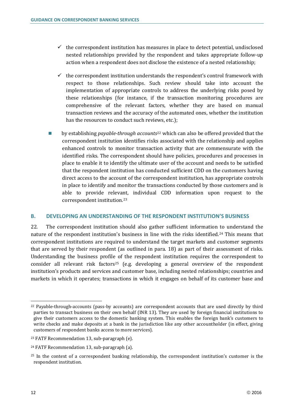- $\checkmark$  the correspondent institution has measures in place to detect potential, undisclosed nested relationships provided by the respondent and takes appropriate follow-up action when a respondent does not disclose the existence of a nested relationship;
- $\checkmark$  the correspondent institution understands the respondent's control framework with respect to those relationships. Such review should take into account the implementation of appropriate controls to address the underlying risks posed by these relationships (for instance, if the transaction monitoring procedures are comprehensive of the relevant factors, whether they are based on manual transaction reviews and the accuracy of the automated ones, whether the institution has the resources to conduct such reviews, etc.);
- by establishing *payable-through accounts*<sup>22</sup> which can also be offered provided that the correspondent institution identifies risks associated with the relationship and applies enhanced controls to monitor transaction activity that are commensurate with the identified risks. The correspondent should have policies, procedures and processes in place to enable it to identify the ultimate user of the account and needs to be satisfied that the respondent institution has conducted sufficient CDD on the customers having direct access to the account of the correspondent institution, has appropriate controls in place to identify and monitor the transactions conducted by those customers and is able to provide relevant, individual CDD information upon request to the correspondent institution.23

#### **B. DEVELOPING AN UNDERSTANDING OF THE RESPONDENT INSTITUTION'S BUSINESS**

22. The correspondent institution should also gather sufficient information to understand the nature of the respondent institution's business in line with the risks identified.<sup>24</sup> This means that correspondent institutions are required to understand the target markets and customer segments that are served by their respondent (as outlined in para. 18) as part of their assessment of risks. Understanding the business profile of the respondent institution requires the correspondent to consider all relevant risk factors<sup>25</sup> (e.g. developing a general overview of the respondent institution's products and services and customer base, including nested relationships; countries and markets in which it operates; transactions in which it engages on behalf of its customer base and

 $^{22}$  Payable-through-accounts (pass-by accounts) are correspondent accounts that are used directly by third parties to transact business on their own behalf (INR 13). They are used by foreign financial institutions to give their customers access to the domestic banking system. This enables the foreign bank's customers to write checks and make deposits at a bank in the jurisdiction like any other accountholder (in effect, giving customers of respondent banks access to more services).

<sup>23</sup> FATF Recommendation 13, sub-paragraph (e).

<sup>24</sup> FATF Recommendation 13, sub-paragraph (a).

<sup>&</sup>lt;sup>25</sup> In the context of a correspondent banking relationship, the correspondent institution's customer is the respondent institution.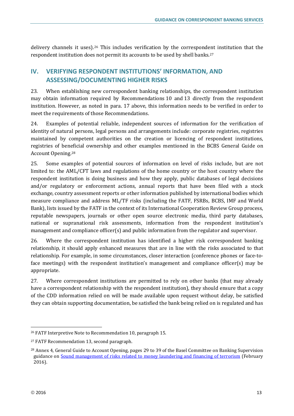delivery channels it uses).26 This includes verification by the correspondent institution that the respondent institution does not permit its accounts to be used by shell banks.27

# **IV. VERIFYING RESPONDENT INSTITUTIONS' INFORMATION, AND ASSESSING/DOCUMENTING HIGHER RISKS**

23. When establishing new correspondent banking relationships, the correspondent institution may obtain information required by Recommendations 10 and 13 directly from the respondent institution. However, as noted in para. 17 above, this information needs to be verified in order to meet the requirements of those Recommendations.

24. Examples of potential reliable, independent sources of information for the verification of identity of natural persons, legal persons and arrangements include: corporate registries, registries maintained by competent authorities on the creation or licencing of respondent institutions, registries of beneficial ownership and other examples mentioned in the BCBS General Guide on Account Opening.28

25. Some examples of potential sources of information on level of risks include, but are not limited to: the AML/CFT laws and regulations of the home country or the host country where the respondent institution is doing business and how they apply, public databases of legal decisions and/or regulatory or enforcement actions, annual reports that have been filed with a stock exchange, country assessment reports or other information published by international bodies which measure compliance and address ML/TF risks (including the FATF, FSRBs, BCBS, IMF and World Bank), lists issued by the FATF in the context of its International Cooperation Review Group process, reputable newspapers, journals or other open source electronic media, third party databases, national or supranational risk assessments, information from the respondent institution's management and compliance officer(s) and public information from the regulator and supervisor.

26. Where the correspondent institution has identified a higher risk correspondent banking relationship, it should apply enhanced measures that are in line with the risks associated to that relationship. For example, in some circumstances, closer interaction (conference phones or face-toface meetings) with the respondent institution's management and compliance officer(s) may be appropriate.

27. Where correspondent institutions are permitted to rely on other banks (that may already have a correspondent relationship with the respondent institution), they should ensure that a copy of the CDD information relied on will be made available upon request without delay, be satisfied they can obtain supporting documentation, be satisfied the bank being relied on is regulated and has

<sup>26</sup> FATF Interpretive Note to Recommendation 10, paragraph 15.

<sup>27</sup> FATF Recommendation 13, second paragraph.

<sup>&</sup>lt;sup>28</sup> Annex 4, General Guide to Account Opening, pages 29 to 39 of the Basel Committee on Banking Supervision guidance on Sound management of risks related to money laundering and financing of terrorism (February 2016).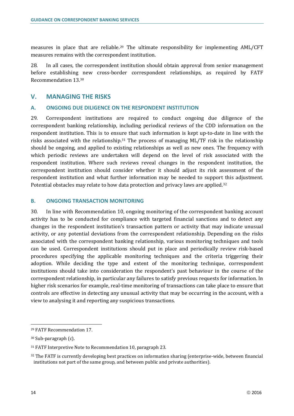measures in place that are reliable.29 The ultimate responsibility for implementing AML/CFT measures remains with the correspondent institution.

28. In all cases, the correspondent institution should obtain approval from senior management before establishing new cross-border correspondent relationships, as required by FATF Recommendation 13.30

## **V. MANAGING THE RISKS**

## **A. ONGOING DUE DILIGENCE ON THE RESPONDENT INSTITUTION**

29. Correspondent institutions are required to conduct ongoing due diligence of the correspondent banking relationship, including periodical reviews of the CDD information on the respondent institution. This is to ensure that such information is kept up-to-date in line with the risks associated with the relationship.31 The process of managing ML/TF risk in the relationship should be ongoing, and applied to existing relationships as well as new ones. The frequency with which periodic reviews are undertaken will depend on the level of risk associated with the respondent institution. Where such reviews reveal changes in the respondent institution, the correspondent institution should consider whether it should adjust its risk assessment of the respondent institution and what further information may be needed to support this adjustment. Potential obstacles may relate to how data protection and privacy laws are applied.32

## **B. ONGOING TRANSACTION MONITORING**

30. In line with Recommendation 10, ongoing monitoring of the correspondent banking account activity has to be conducted for compliance with targeted financial sanctions and to detect any changes in the respondent institution's transaction pattern or activity that may indicate unusual activity, or any potential deviations from the correspondent relationship. Depending on the risks associated with the correspondent banking relationship, various monitoring techniques and tools can be used. Correspondent institutions should put in place and periodically review risk-based procedures specifying the applicable monitoring techniques and the criteria triggering their adoption. While deciding the type and extent of the monitoring technique, correspondent institutions should take into consideration the respondent's past behaviour in the course of the correspondent relationship, in particular any failures to satisfy previous requests for information. In higher risk scenarios for example, real-time monitoring of transactions can take place to ensure that controls are effective in detecting any unusual activity that may be occurring in the account, with a view to analysing it and reporting any suspicious transactions.

<sup>29</sup> FATF Recommendation 17.

<sup>30</sup> Sub-paragraph (c).

<sup>31</sup> FATF Interpretive Note to Recommendation 10, paragraph 23.

<sup>32</sup> The FATF is currently developing best practices on information sharing (enterprise-wide, between financial institutions not part of the same group, and between public and private authorities).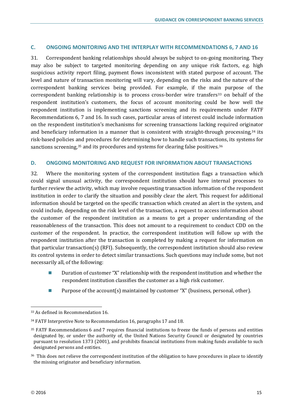## **C. ONGOING MONITORING AND THE INTERPLAY WITH RECOMMENDATIONS 6, 7 AND 16**

31. Correspondent banking relationships should always be subject to on-going monitoring. They may also be subject to targeted monitoring depending on any unique risk factors, e.g. high suspicious activity report filing, payment flows inconsistent with stated purpose of account. The level and nature of transaction monitoring will vary, depending on the risks and the nature of the correspondent banking services being provided. For example, if the main purpose of the correspondent banking relationship is to process cross-border wire transfers<sup>33</sup> on behalf of the respondent institution's customers, the focus of account monitoring could be how well the respondent institution is implementing sanctions screening and its requirements under FATF Recommendations 6, 7 and 16. In such cases, particular areas of interest could include information on the respondent institution's mechanisms for screening transactions lacking required originator and beneficiary information in a manner that is consistent with straight-through processing,<sup>34</sup> its risk-based policies and procedures for determining how to handle such transactions, its systems for sanctions screening,<sup>35</sup> and its procedures and systems for clearing false positives.<sup>36</sup>

#### **D. ONGOING MONITORING AND REQUEST FOR INFORMATION ABOUT TRANSACTIONS**

32. Where the monitoring system of the correspondent institution flags a transaction which could signal unusual activity, the correspondent institution should have internal processes to further review the activity, which may involve requesting transaction information of the respondent institution in order to clarify the situation and possibly clear the alert. This request for additional information should be targeted on the specific transaction which created an alert in the system, and could include, depending on the risk level of the transaction, a request to access information about the customer of the respondent institution as a means to get a proper understanding of the reasonableness of the transaction. This does not amount to a requirement to conduct CDD on the customer of the respondent. In practice, the correspondent institution will follow up with the respondent institution after the transaction is completed by making a request for information on that particular transaction(s) (RFI). Subsequently, the correspondent institution should also review its control systems in order to detect similar transactions. Such questions may include some, but not necessarily all, of the following:

- Duration of customer "X" relationship with the respondent institution and whether the respondent institution classifies the customer as a high risk customer.
- **Purpose of the account(s) maintained by customer "X" (business, personal, other).**

<sup>33</sup> As defined in Recommendation 16.

<sup>34</sup> FATF Interpretive Note to Recommendation 16, paragraphs 17 and 18.

<sup>35</sup> FATF Recommendations 6 and 7 requires financial institutions to freeze the funds of persons and entities designated by, or under the authority of, the United Nations Security Council or designated by countries pursuant to resolution 1373 (2001), and prohibits financial institutions from making funds available to such designated persons and entities.

<sup>&</sup>lt;sup>36</sup> This does not relieve the correspondent institution of the obligation to have procedures in place to identify the missing originator and beneficiary information.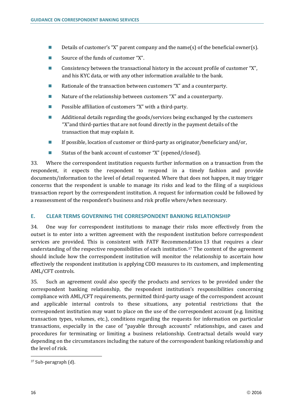- Details of customer's "X" parent company and the name(s) of the beneficial owner(s).
- Source of the funds of customer "X".
- Consistency between the transactional history in the account profile of customer "X", and his KYC data, or with any other information available to the bank.
- **Rationale of the transaction between customers "X" and a counterparty.**
- Nature of the relationship between customers "X" and a counterparty.
- **Possible affiliation of customers "X" with a third-party.**
- Additional details regarding the goods/services being exchanged by the customers "X"and third-parties that are not found directly in the payment details of the transaction that may explain it.
- If possible, location of customer or third-party as originator/beneficiary and/or,
- Status of the bank account of customer "X" (opened/closed).

33. Where the correspondent institution requests further information on a transaction from the respondent, it expects the respondent to respond in a timely fashion and provide documents/information to the level of detail requested. Where that does not happen, it may trigger concerns that the respondent is unable to manage its risks and lead to the filing of a suspicious transaction report by the correspondent institution. A request for information could be followed by a reassessment of the respondent's business and risk profile where/when necessary.

## **E. CLEAR TERMS GOVERNING THE CORRESPONDENT BANKING RELATIONSHIP**

34. One way for correspondent institutions to manage their risks more effectively from the outset is to enter into a written agreement with the respondent institution before correspondent services are provided. This is consistent with FATF Recommendation 13 that requires a clear understanding of the respective responsibilities of each institution.37 The content of the agreement should include how the correspondent institution will monitor the relationship to ascertain how effectively the respondent institution is applying CDD measures to its customers, and implementing AML/CFT controls.

35. Such an agreement could also specify the products and services to be provided under the correspondent banking relationship, the respondent institution's responsibilities concerning compliance with AML/CFT requirements, permitted third-party usage of the correspondent account and applicable internal controls to these situations, any potential restrictions that the correspondent institution may want to place on the use of the correspondent account (e.g. limiting transaction types, volumes, etc.), conditions regarding the requests for information on particular transactions, especially in the case of "payable through accounts" relationships, and cases and procedures for terminating or limiting a business relationship. Contractual details would vary depending on the circumstances including the nature of the correspondent banking relationship and the level of risk.

<sup>37</sup> Sub-paragraph (d).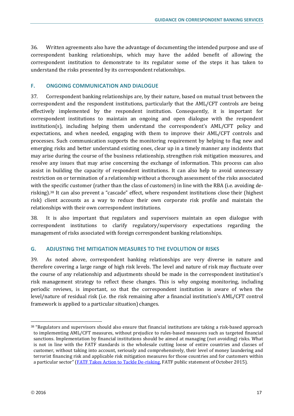36. Written agreements also have the advantage of documenting the intended purpose and use of correspondent banking relationships, which may have the added benefit of allowing the correspondent institution to demonstrate to its regulator some of the steps it has taken to understand the risks presented by its correspondent relationships.

## **F. ONGOING COMMUNICATION AND DIALOGUE**

37. Correspondent banking relationships are, by their nature, based on mutual trust between the correspondent and the respondent institutions, particularly that the AML/CFT controls are being effectively implemented by the respondent institution. Consequently, it is important for correspondent institutions to maintain an ongoing and open dialogue with the respondent institution(s), including helping them understand the correspondent's AML/CFT policy and expectations, and when needed, engaging with them to improve their AML/CFT controls and processes. Such communication supports the monitoring requirement by helping to flag new and emerging risks and better understand existing ones, clear up in a timely manner any incidents that may arise during the course of the business relationship, strengthen risk mitigation measures, and resolve any issues that may arise concerning the exchange of information. This process can also assist in building the capacity of respondent institutions. It can also help to avoid unnecessary restriction on or termination of a relationship without a thorough assessment of the risks associated with the specific customer (rather than the class of customers) in line with the RBA (i.e. avoiding derisking).38 It can also prevent a "cascade" effect, where respondent institutions close their (highest risk) client accounts as a way to reduce their own corporate risk profile and maintain the relationships with their own correspondent institutions.

38. It is also important that regulators and supervisors maintain an open dialogue with correspondent institutions to clarify regulatory/supervisory expectations regarding the management of risks associated with foreign correspondent banking relationships.

## **G. ADJUSTING THE MITIGATION MEASURES TO THE EVOLUTION OF RISKS**

39. As noted above, correspondent banking relationships are very diverse in nature and therefore covering a large range of high risk levels. The level and nature of risk may fluctuate over the course of any relationship and adjustments should be made in the correspondent institution's risk management strategy to reflect these changes. This is why ongoing monitoring, including periodic reviews, is important, so that the correspondent institution is aware of when the level/nature of residual risk (i.e. the risk remaining after a financial institution's AML/CFT control framework is applied to a particular situation) changes.

<sup>38</sup> "Regulators and supervisors should also ensure that financial institutions are taking a risk-based approach to implementing AML/CFT measures, without prejudice to rules-based measures such as targeted financial sanctions. Implementation by financial institutions should be aimed at managing (not avoiding) risks. What is not in line with the FATF standards is the wholesale cutting loose of entire countries and classes of customer, without taking into account, seriously and comprehensively, their level of money laundering and terrorist financing risk and applicable risk mitigation measures for those countries and for customers within a particular sector" (FATF Takes Action to Tackle De-risking, FATF public statement of October 2015).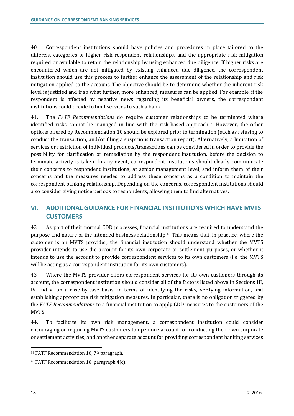40. Correspondent institutions should have policies and procedures in place tailored to the different categories of higher risk respondent relationships, and the appropriate risk mitigation required or available to retain the relationship by using enhanced due diligence. If higher risks are encountered which are not mitigated by existing enhanced due diligence, the correspondent institution should use this process to further enhance the assessment of the relationship and risk mitigation applied to the account. The objective should be to determine whether the inherent risk level is justified and if so what further, more enhanced, measures can be applied. For example, if the respondent is affected by negative news regarding its beneficial owners, the correspondent institutions could decide to limit services to such a bank.

41. The *FATF Recommendations* do require customer relationships to be terminated where identified risks cannot be managed in line with the risk-based approach.39 However, the other options offered by Recommendation 10 should be explored prior to termination (such as refusing to conduct the transaction, and/or filing a suspicious transaction report). Alternatively, a limitation of services or restriction of individual products/transactions can be considered in order to provide the possibility for clarification or remediation by the respondent institution, before the decision to terminate activity is taken. In any event, correspondent institutions should clearly communicate their concerns to respondent institutions, at senior management level, and inform them of their concerns and the measures needed to address these concerns as a condition to maintain the correspondent banking relationship. Depending on the concerns, correspondent institutions should also consider giving notice periods to respondents, allowing them to find alternatives.

# **VI. ADDITIONAL GUIDANCE FOR FINANCIAL INSTITUTIONS WHICH HAVE MVTS CUSTOMERS**

42. As part of their normal CDD processes, financial institutions are required to understand the purpose and nature of the intended business relationship.40 This means that, in practice, where the customer is an MVTS provider, the financial institution should understand whether the MVTS provider intends to use the account for its own corporate or settlement purposes, or whether it intends to use the account to provide correspondent services to its own customers (i.e. the MVTS will be acting as a correspondent institution for its own customers).

43. Where the MVTS provider offers correspondent services for its own customers through its account, the correspondent institution should consider all of the factors listed above in Sections III, IV and V, on a case-by-case basis, in terms of identifying the risks, verifying information, and establishing appropriate risk mitigation measures. In particular, there is no obligation triggered by the *FATF Recommendations* to a financial institution to apply CDD measures to the customers of the MVTS.

44. To facilitate its own risk management, a correspondent institution could consider encouraging or requiring MVTS customers to open one account for conducting their own corporate or settlement activities, and another separate account for providing correspondent banking services

 $\ddot{\phantom{a}}$ 

<sup>39</sup> FATF Recommendation 10, 7th paragraph.

<sup>40</sup> FATF Recommendation 10, paragraph 4(c).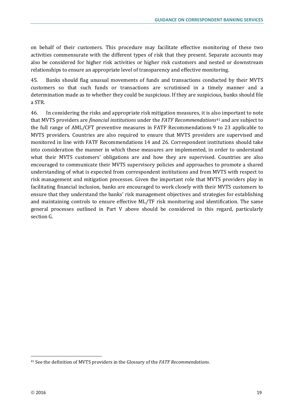on behalf of their customers. This procedure may facilitate effective monitoring of these two activities commensurate with the different types of risk that they present. Separate accounts may also be considered for higher risk activities or higher risk customers and nested or downstream relationships to ensure an appropriate level of transparency and effective monitoring.

45. Banks should flag unusual movements of funds and transactions conducted by their MVTS customers so that such funds or transactions are scrutinised in a timely manner and a determination made as to whether they could be suspicious. If they are suspicious, banks should file a STR.

46. In considering the risks and appropriate risk mitigation measures, it is also important to note that MVTS providers are *financial institutions* under the *FATF Recommendations*<sup>41</sup> and are subject to the full range of AML/CFT preventive measures in FATF Recommendations 9 to 23 applicable to MVTS providers. Countries are also required to ensure that MVTS providers are supervised and monitored in line with FATF Recommendations 14 and 26. Correspondent institutions should take into consideration the manner in which these measures are implemented, in order to understand what their MVTS customers' obligations are and how they are supervised. Countries are also encouraged to communicate their MVTS supervisory policies and approaches to promote a shared understanding of what is expected from correspondent institutions and from MVTS with respect to risk management and mitigation processes. Given the important role that MVTS providers play in facilitating financial inclusion, banks are encouraged to work closely with their MVTS customers to ensure that they understand the banks' risk management objectives and strategies for establishing and maintaining controls to ensure effective ML/TF risk monitoring and identification. The same general processes outlined in Part V above should be considered in this regard, particularly section G.

<sup>41</sup> See the definition of MVTS providers in the Glossary of the *FATF Recommendations.*